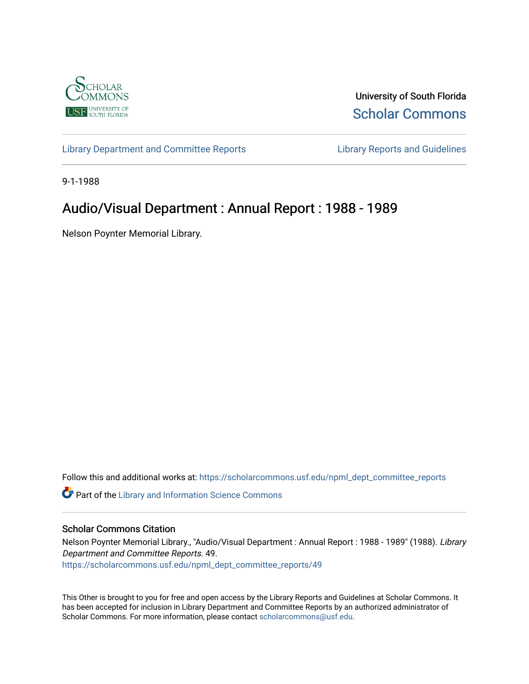

University of South Florida [Scholar Commons](https://scholarcommons.usf.edu/) 

[Library Department and Committee Reports](https://scholarcommons.usf.edu/npml_dept_committee_reports) [Library Reports and Guidelines](https://scholarcommons.usf.edu/npml_reports_guidelines_instruct_materials) 

9-1-1988

## Audio/Visual Department : Annual Report : 1988 - 1989

Nelson Poynter Memorial Library.

Follow this and additional works at: [https://scholarcommons.usf.edu/npml\\_dept\\_committee\\_reports](https://scholarcommons.usf.edu/npml_dept_committee_reports?utm_source=scholarcommons.usf.edu%2Fnpml_dept_committee_reports%2F49&utm_medium=PDF&utm_campaign=PDFCoverPages)

Part of the [Library and Information Science Commons](http://network.bepress.com/hgg/discipline/1018?utm_source=scholarcommons.usf.edu%2Fnpml_dept_committee_reports%2F49&utm_medium=PDF&utm_campaign=PDFCoverPages) 

### Scholar Commons Citation

Nelson Poynter Memorial Library., "Audio/Visual Department : Annual Report : 1988 - 1989" (1988). Library Department and Committee Reports. 49. [https://scholarcommons.usf.edu/npml\\_dept\\_committee\\_reports/49](https://scholarcommons.usf.edu/npml_dept_committee_reports/49?utm_source=scholarcommons.usf.edu%2Fnpml_dept_committee_reports%2F49&utm_medium=PDF&utm_campaign=PDFCoverPages) 

This Other is brought to you for free and open access by the Library Reports and Guidelines at Scholar Commons. It has been accepted for inclusion in Library Department and Committee Reports by an authorized administrator of Scholar Commons. For more information, please contact [scholarcommons@usf.edu](mailto:scholarcommons@usf.edu).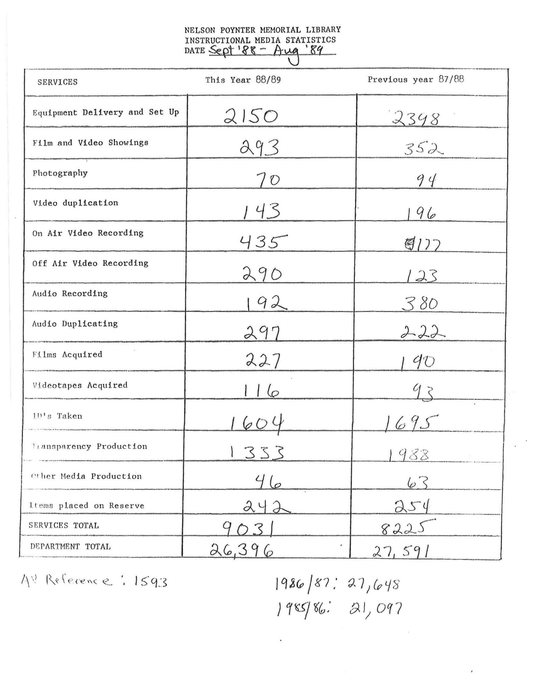# NELSON POYNTER MEMORIAL LIBRARY INSTRUCTIONAL MEDIA STATISTICS<br>DATE Sept '88 - Aug '89

| <b>SERVICES</b>               | This Year 88/89 | Previous year 87/88 |  |
|-------------------------------|-----------------|---------------------|--|
| Equipment Delivery and Set Up | 2150            | 2348                |  |
| Film and Video Showings       | 293             | 352                 |  |
| Photography                   | 70              | 94                  |  |
| Video duplication             | 143             | 96                  |  |
| On Air Video Recording        | 435             | 图177                |  |
| Off Air Video Recording       | 290             | 123                 |  |
| Audio Recording               | 92              | 380                 |  |
| Audio Duplicating             | 297             | 222                 |  |
| Films Acquired                | 227             | $90^{\circ}$        |  |
| Videotapes Acquired           | 6               |                     |  |
| ID's Taken                    |                 | 69.5                |  |
| Transparency Production       | 333             | 988                 |  |
| Other Media Production        | 46              | 63                  |  |
| Items placed on Reserve       | 242             | 254                 |  |
| SERVICES TOTAL                | $\sim$ 3        | 8225                |  |
| DEPARIMENT TOTAL              | 26,396          | 27,591              |  |

AV Reference: 1593

 $1986/87:27/648$ 1985/86: 21,097

 $\bar{\epsilon}$